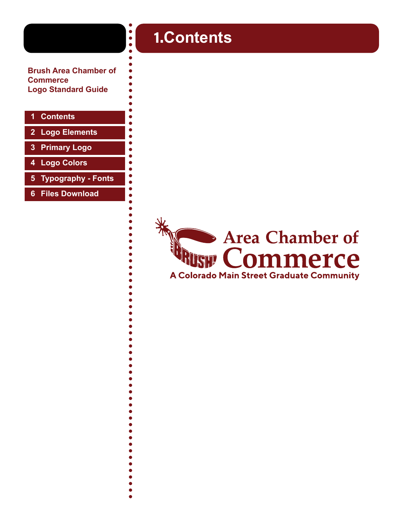**Brush Area Chamber of Commerce Logo Standard Guide**

#### **1 Contents**

- **2 [Logo Elements](#page-1-0)**
- **3 [Primary Logo](#page-2-0)**
- **4 [Logo Colors](#page-3-0)**
- **5 [Typography Fonts](#page-4-0)**
- **6 [Files Download](#page-5-0)**

## 1.**Contents**

 $\begin{array}{c} \bullet \\ \bullet \\ \bullet \end{array}$ 

ò ă

 $\bullet$ ă  $\bullet$  $\bullet$ ă

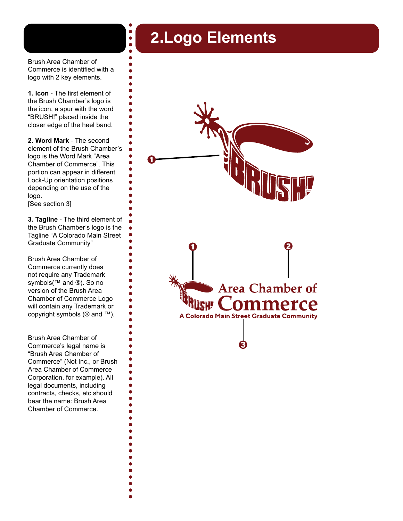## 2.**Logo Elements**

<span id="page-1-0"></span>Brush Area Chamber of Commerce is identified with a logo with 2 key elements.

 $\bullet$  $\bullet$ 

**1. Icon** - The first element of the Brush Chamber's logo is the icon, a spur with the word "BRUSH!" placed inside the closer edge of the heel band.

**2. Word Mark** - The second element of the Brush Chamber's logo is the Word Mark "Area Chamber of Commerce". This portion can appear in different Lock-Up orientation positions depending on the use of the logo.

[See section 3]

**3. Tagline** - The third element of the Brush Chamber's logo is the Tagline "A Colorado Main Street Graduate Community"

Brush Area Chamber of Commerce currently does not require any Trademark symbols(™ and ®). So no version of the Brush Area Chamber of Commerce Logo will contain any Trademark or copyright symbols (® and ™).

Brush Area Chamber of Commerce's legal name is "Brush Area Chamber of Commerce" (Not Inc., or Brush Area Chamber of Commerce Corporation, for example). All legal documents, including contracts, checks, etc should bear the name: Brush Area Chamber of Commerce.

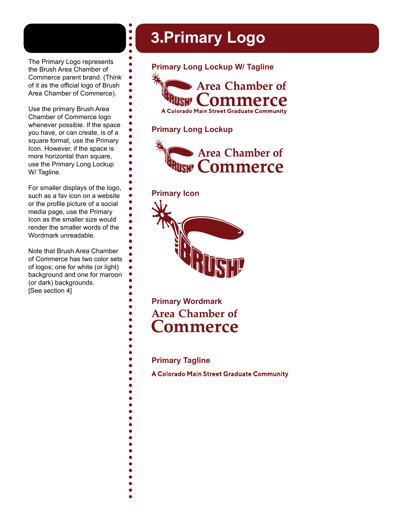<span id="page-2-0"></span>The Primary Logo represents the Brush Area Chamber of Commerce parent brand. (Think of it as the official logo of Brush Area Chamber of Commerce).

 $\bullet$  $\bullet$ 

Use the primary Brush Area Chamber of Commerce logo whenever possible. If the space you have, or can create, is of a square format, use the Primary Icon. However, if the space is more horizontal than square, use the Primary Long Lockup W/ Tagline.

For smaller displays of the logo, such as a fav icon on a website or the profile picture of a social media page, use the Primary Icon as the smaller size would render the smaller words of the Wordmark unreadable.

Note that Brush Area Chamber of Commerce has two color sets of logos; one for white (or light) background and one for maroon (or dark) backgrounds. [See section 4]

## 3.**Primary Logo**



#### **Primary Long Lockup**



#### **Primary Icon**



**Primary Wordmark Area Chamber of Commerce** 

#### **Primary Tagline**

A Colorado Main Street Graduate Community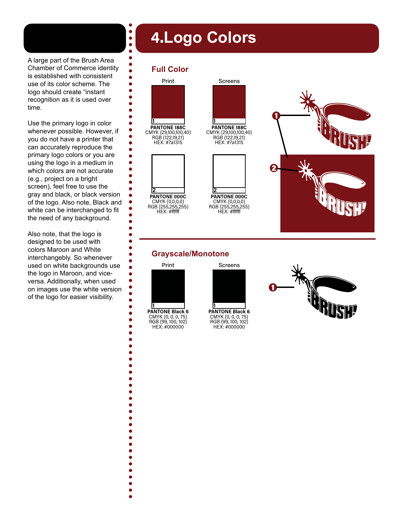## 4.**Logo Colors**

#### **Full Color**

 $\bullet$  $\bullet$  $\bullet$  $\bullet$  $\bullet$  $\bullet$  $\bullet$  $\bullet$ é ó  $\bullet$  $\bullet$  $\bullet$  $\bullet$  $\bullet$  $\bullet$  $\bullet$  $\bullet$  $\bullet$  $\bullet$  $\bullet$ 

ò  $\bullet$  $\bullet$  $\bullet$  $\bullet$ 

Ċ

 $\bullet$  $\bullet$  $\bullet$  $\bullet$ 

<span id="page-3-0"></span>

Use the primary logo in color whenever possible. However, if you do not have a printer that can accurately reproduce the primary logo colors or you are using the logo in a medium in which colors are not accurate (e.g., project on a bright screen), feel free to use the gray and black, or black version of the logo. Also note, Black and white can be interchanged to fit the need of any background.

Also note, that the logo is designed to be used with colors Maroon and White interchangebly. So whenever used on white backgrounds use the logo in Maroon, and viceversa. Additionally, when used on images use the white version of the logo for easier visibility.

![](_page_3_Figure_5.jpeg)

RGB (255,255,255) HEX: #ffffff

![](_page_3_Picture_7.jpeg)

Screens

CMYK (0,0,0,0) RGB (255,255,255) HEX: #ffffff

![](_page_3_Picture_9.jpeg)

#### **Grayscale/Monotone**

![](_page_3_Figure_11.jpeg)

![](_page_3_Figure_12.jpeg)

![](_page_3_Picture_13.jpeg)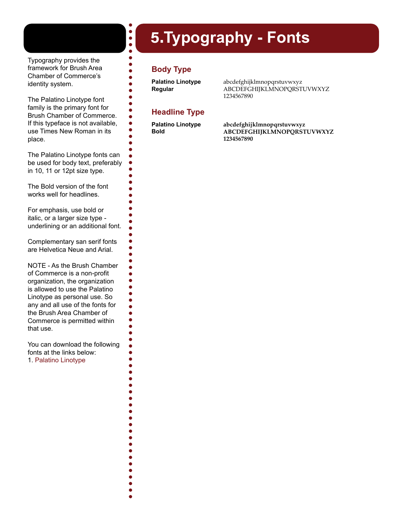## 5.**Typography - Fonts**

<span id="page-4-0"></span>Typography provides the framework for Brush Area Chamber of Commerce's identity system.

The Palatino Linotype font family is the primary font for Brush Chamber of Commerce. If this typeface is not available, use Times New Roman in its place.

The Palatino Linotype fonts can be used for body text, preferably in 10, 11 or 12pt size type.

The Bold version of the font works well for headlines.

For emphasis, use bold or italic, or a larger size type underlining or an additional font.

Complementary san serif fonts are Helvetica Neue and Arial.

NOTE - As the Brush Chamber of Commerce is a non-profit organization, the organization is allowed to use the Palatino Linotype as personal use. So any and all use of the fonts for the Brush Area Chamber of Commerce is permitted within that use.

You can download the following fonts at the links below: 1. [Palatino Linotype](https://www.dafontfree.io/download/palatino/)

### **Body Type**

 $\begin{array}{c} \bullet \\ \bullet \\ \bullet \end{array}$  $\bullet$  $\bullet$ 

Ō  $\bullet$  $\bullet$  $\bullet$  $\bullet$  $\bullet$  $\bullet$ Ō

 $\bullet$  $\bullet$  $\bullet$  $\bullet$  $\bullet$  $\bullet$  $\bullet$  $\bullet$  $\bullet$  $\bullet$  $\bullet$  $\bullet$  $\bullet$  $\bullet$  $\bullet$ 

 $\bullet$  $\bullet$  $\bullet$ 

**Palatino Linotype Regular**

abcdefghijklmnopqrstuvwxyz ABCDEFGHIJKLMNOPQRSTUVWXYZ 1234567890

#### **Headline Type**

**Palatino Linotype Bold**

**abcdefghijklmnopqrstuvwxyz ABCDEFGHIJKLMNOPQRSTUVWXYZ 1234567890**